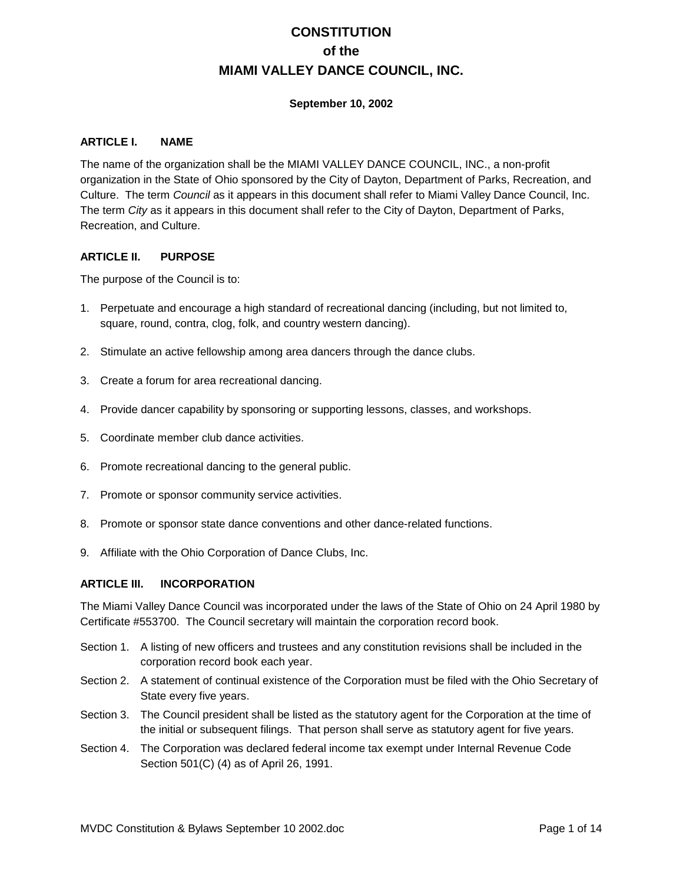## **CONSTITUTION of the MIAMI VALLEY DANCE COUNCIL, INC.**

### **September 10, 2002**

### **ARTICLE I. NAME**

The name of the organization shall be the MIAMI VALLEY DANCE COUNCIL, INC., a non-profit organization in the State of Ohio sponsored by the City of Dayton, Department of Parks, Recreation, and Culture. The term *Council* as it appears in this document shall refer to Miami Valley Dance Council, Inc. The term *City* as it appears in this document shall refer to the City of Dayton, Department of Parks, Recreation, and Culture.

### **ARTICLE II. PURPOSE**

The purpose of the Council is to:

- 1. Perpetuate and encourage a high standard of recreational dancing (including, but not limited to, square, round, contra, clog, folk, and country western dancing).
- 2. Stimulate an active fellowship among area dancers through the dance clubs.
- 3. Create a forum for area recreational dancing.
- 4. Provide dancer capability by sponsoring or supporting lessons, classes, and workshops.
- 5. Coordinate member club dance activities.
- 6. Promote recreational dancing to the general public.
- 7. Promote or sponsor community service activities.
- 8. Promote or sponsor state dance conventions and other dance-related functions.
- 9. Affiliate with the Ohio Corporation of Dance Clubs, Inc.

## **ARTICLE III. INCORPORATION**

The Miami Valley Dance Council was incorporated under the laws of the State of Ohio on 24 April 1980 by Certificate #553700. The Council secretary will maintain the corporation record book.

- Section 1. A listing of new officers and trustees and any constitution revisions shall be included in the corporation record book each year.
- Section 2. A statement of continual existence of the Corporation must be filed with the Ohio Secretary of State every five years.
- Section 3. The Council president shall be listed as the statutory agent for the Corporation at the time of the initial or subsequent filings. That person shall serve as statutory agent for five years.
- Section 4. The Corporation was declared federal income tax exempt under Internal Revenue Code Section 501(C) (4) as of April 26, 1991.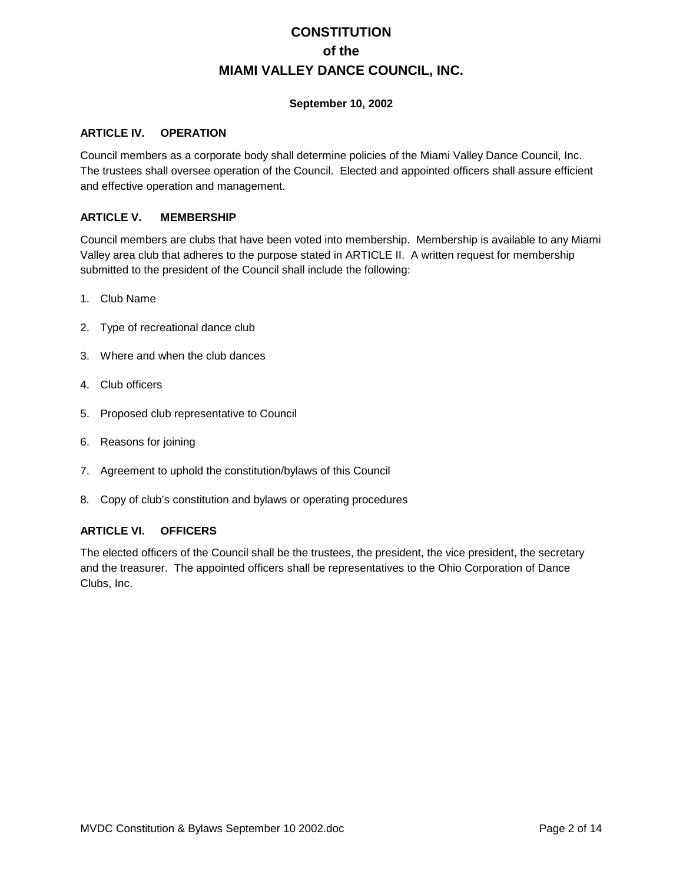## **CONSTITUTION of the MIAMI VALLEY DANCE COUNCIL, INC.**

## **September 10, 2002**

#### **ARTICLE IV. OPERATION**

Council members as a corporate body shall determine policies of the Miami Valley Dance Council, Inc. The trustees shall oversee operation of the Council. Elected and appointed officers shall assure efficient and effective operation and management.

### **ARTICLE V. MEMBERSHIP**

Council members are clubs that have been voted into membership. Membership is available to any Miami Valley area club that adheres to the purpose stated in ARTICLE II. A written request for membership submitted to the president of the Council shall include the following:

- 1. Club Name
- 2. Type of recreational dance club
- 3. Where and when the club dances
- 4. Club officers
- 5. Proposed club representative to Council
- 6. Reasons for joining
- 7. Agreement to uphold the constitution/bylaws of this Council
- 8. Copy of club's constitution and bylaws or operating procedures

## **ARTICLE VI. OFFICERS**

The elected officers of the Council shall be the trustees, the president, the vice president, the secretary and the treasurer. The appointed officers shall be representatives to the Ohio Corporation of Dance Clubs, Inc.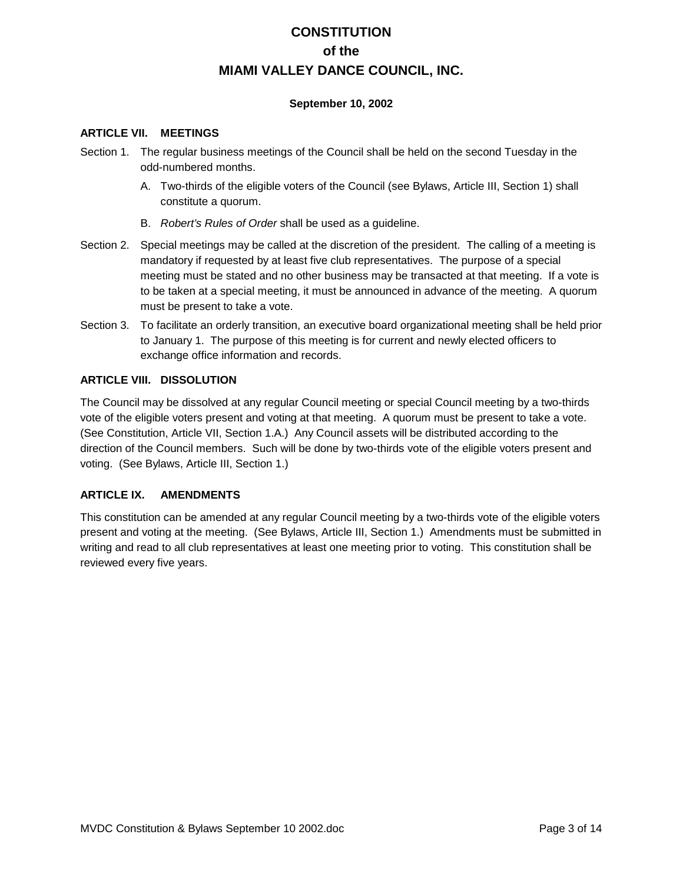## **CONSTITUTION of the MIAMI VALLEY DANCE COUNCIL, INC.**

## **September 10, 2002**

#### **ARTICLE VII. MEETINGS**

- Section 1. The regular business meetings of the Council shall be held on the second Tuesday in the odd-numbered months.
	- A. Two-thirds of the eligible voters of the Council (see Bylaws, Article III, Section 1) shall constitute a quorum.
	- B. *Robert's Rules of Order* shall be used as a guideline.
- Section 2. Special meetings may be called at the discretion of the president. The calling of a meeting is mandatory if requested by at least five club representatives. The purpose of a special meeting must be stated and no other business may be transacted at that meeting. If a vote is to be taken at a special meeting, it must be announced in advance of the meeting. A quorum must be present to take a vote.
- Section 3. To facilitate an orderly transition, an executive board organizational meeting shall be held prior to January 1. The purpose of this meeting is for current and newly elected officers to exchange office information and records.

### **ARTICLE VIII. DISSOLUTION**

The Council may be dissolved at any regular Council meeting or special Council meeting by a two-thirds vote of the eligible voters present and voting at that meeting. A quorum must be present to take a vote. (See Constitution, Article VII, Section 1.A.) Any Council assets will be distributed according to the direction of the Council members. Such will be done by two-thirds vote of the eligible voters present and voting. (See Bylaws, Article III, Section 1.)

## **ARTICLE IX. AMENDMENTS**

This constitution can be amended at any regular Council meeting by a two-thirds vote of the eligible voters present and voting at the meeting. (See Bylaws, Article III, Section 1.) Amendments must be submitted in writing and read to all club representatives at least one meeting prior to voting. This constitution shall be reviewed every five years.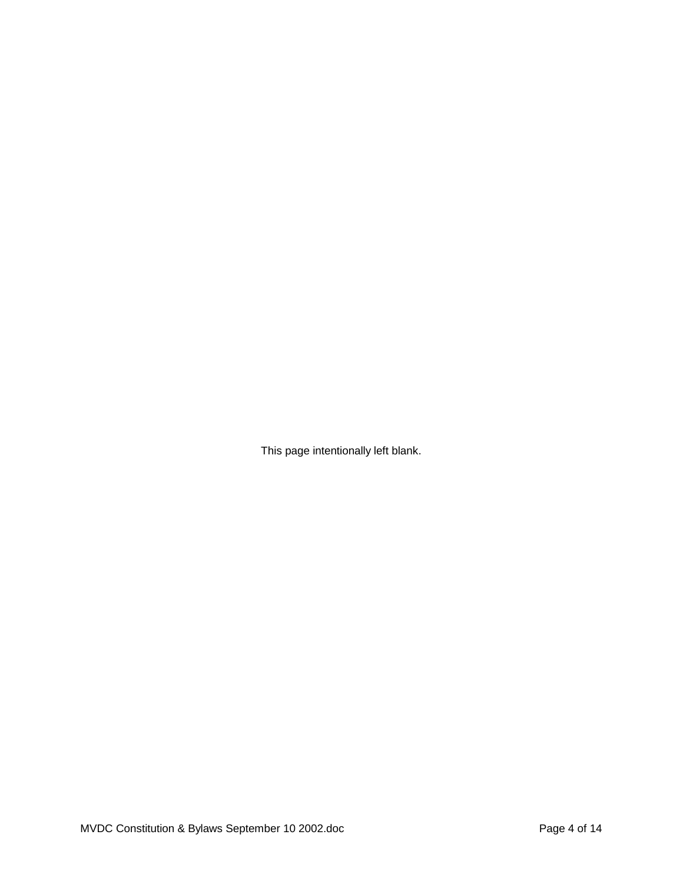This page intentionally left blank.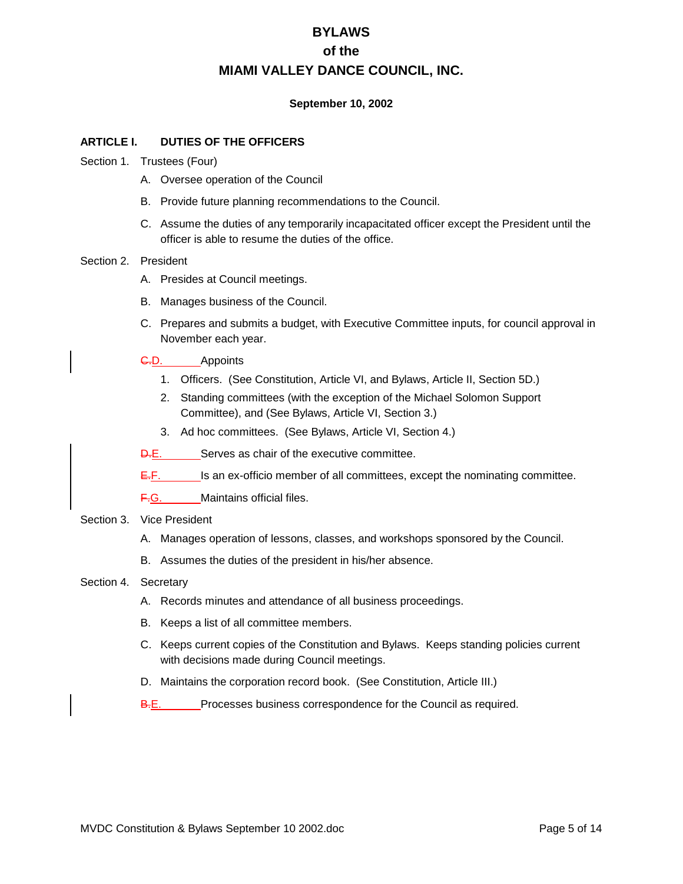### **September 10, 2002**

#### **ARTICLE I. DUTIES OF THE OFFICERS**

- Section 1. Trustees (Four)
	- A. Oversee operation of the Council
	- B. Provide future planning recommendations to the Council.
	- C. Assume the duties of any temporarily incapacitated officer except the President until the officer is able to resume the duties of the office.

#### Section 2. President

- A. Presides at Council meetings.
- B. Manages business of the Council.
- C. Prepares and submits a budget, with Executive Committee inputs, for council approval in November each year.
- G.D. Appoints
	- 1. Officers. (See Constitution, Article VI, and Bylaws, Article II, Section 5D.)
	- 2. Standing committees (with the exception of the Michael Solomon Support Committee), and (See Bylaws, Article VI, Section 3.)
	- 3. Ad hoc committees. (See Bylaws, Article VI, Section 4.)
- **D.E.** Serves as chair of the executive committee.
- E.F. Sim Sex-officio member of all committees, except the nominating committee.
- F.G. Maintains official files.
- Section 3. Vice President
	- A. Manages operation of lessons, classes, and workshops sponsored by the Council.
	- B. Assumes the duties of the president in his/her absence.

## Section 4. Secretary

- A. Records minutes and attendance of all business proceedings.
- B. Keeps a list of all committee members.
- C. Keeps current copies of the Constitution and Bylaws. Keeps standing policies current with decisions made during Council meetings.
- D. Maintains the corporation record book. (See Constitution, Article III.)
- B.E. Processes business correspondence for the Council as required.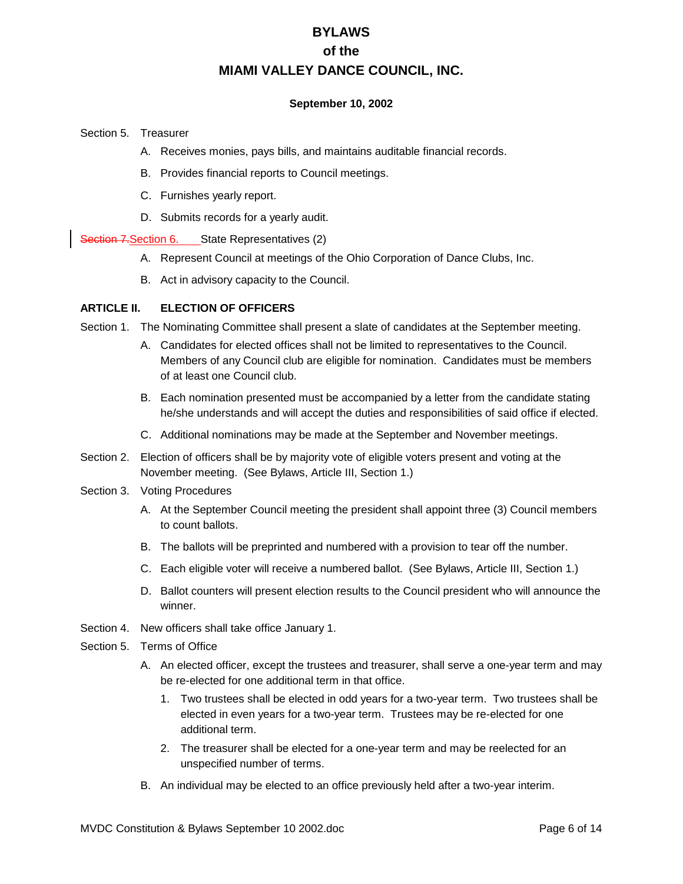### **September 10, 2002**

Section 5. Treasurer

- A. Receives monies, pays bills, and maintains auditable financial records.
- B. Provides financial reports to Council meetings.
- C. Furnishes yearly report.
- D. Submits records for a yearly audit.

Section 7. Section 6. State Representatives (2)

- A. Represent Council at meetings of the Ohio Corporation of Dance Clubs, Inc.
- B. Act in advisory capacity to the Council.

### **ARTICLE II. ELECTION OF OFFICERS**

- Section 1. The Nominating Committee shall present a slate of candidates at the September meeting.
	- A. Candidates for elected offices shall not be limited to representatives to the Council. Members of any Council club are eligible for nomination. Candidates must be members of at least one Council club.
	- B. Each nomination presented must be accompanied by a letter from the candidate stating he/she understands and will accept the duties and responsibilities of said office if elected.
	- C. Additional nominations may be made at the September and November meetings.
- Section 2. Election of officers shall be by majority vote of eligible voters present and voting at the November meeting. (See Bylaws, Article III, Section 1.)
- Section 3. Voting Procedures
	- A. At the September Council meeting the president shall appoint three (3) Council members to count ballots.
	- B. The ballots will be preprinted and numbered with a provision to tear off the number.
	- C. Each eligible voter will receive a numbered ballot. (See Bylaws, Article III, Section 1.)
	- D. Ballot counters will present election results to the Council president who will announce the winner.
- Section 4. New officers shall take office January 1.
- Section 5. Terms of Office
	- A. An elected officer, except the trustees and treasurer, shall serve a one-year term and may be re-elected for one additional term in that office.
		- 1. Two trustees shall be elected in odd years for a two-year term. Two trustees shall be elected in even years for a two-year term. Trustees may be re-elected for one additional term.
		- 2. The treasurer shall be elected for a one-year term and may be reelected for an unspecified number of terms.
	- B. An individual may be elected to an office previously held after a two-year interim.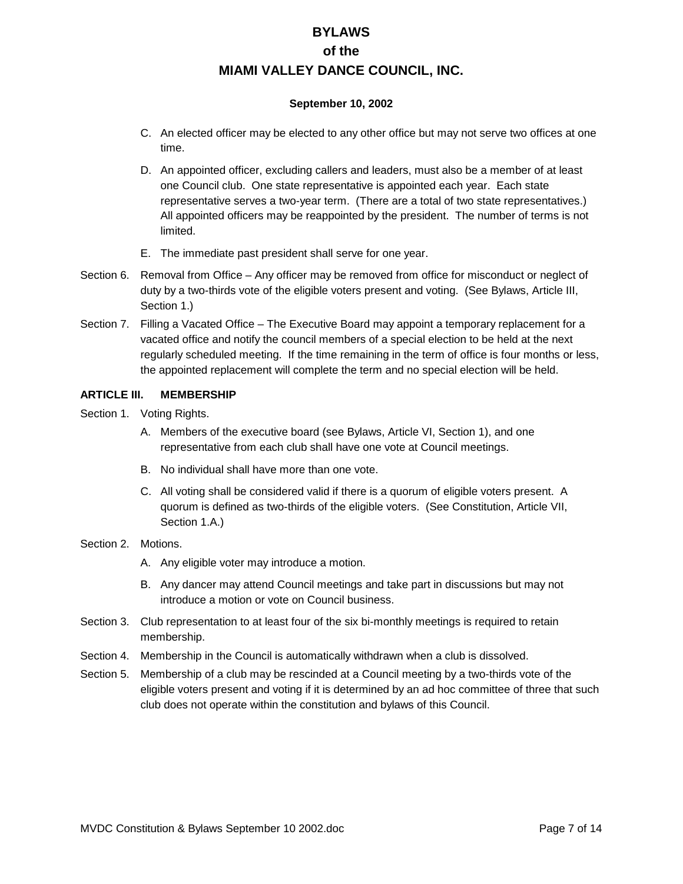#### **September 10, 2002**

- C. An elected officer may be elected to any other office but may not serve two offices at one time.
- D. An appointed officer, excluding callers and leaders, must also be a member of at least one Council club. One state representative is appointed each year. Each state representative serves a two-year term. (There are a total of two state representatives.) All appointed officers may be reappointed by the president. The number of terms is not limited.
- E. The immediate past president shall serve for one year.
- Section 6. Removal from Office Any officer may be removed from office for misconduct or neglect of duty by a two-thirds vote of the eligible voters present and voting. (See Bylaws, Article III, Section 1.)
- Section 7. Filling a Vacated Office The Executive Board may appoint a temporary replacement for a vacated office and notify the council members of a special election to be held at the next regularly scheduled meeting. If the time remaining in the term of office is four months or less, the appointed replacement will complete the term and no special election will be held.

### **ARTICLE III. MEMBERSHIP**

- Section 1. Voting Rights.
	- A. Members of the executive board (see Bylaws, Article VI, Section 1), and one representative from each club shall have one vote at Council meetings.
	- B. No individual shall have more than one vote.
	- C. All voting shall be considered valid if there is a quorum of eligible voters present. A quorum is defined as two-thirds of the eligible voters. (See Constitution, Article VII, Section 1.A.)
- Section 2. Motions.
	- A. Any eligible voter may introduce a motion.
	- B. Any dancer may attend Council meetings and take part in discussions but may not introduce a motion or vote on Council business.
- Section 3. Club representation to at least four of the six bi-monthly meetings is required to retain membership.
- Section 4. Membership in the Council is automatically withdrawn when a club is dissolved.
- Section 5. Membership of a club may be rescinded at a Council meeting by a two-thirds vote of the eligible voters present and voting if it is determined by an ad hoc committee of three that such club does not operate within the constitution and bylaws of this Council.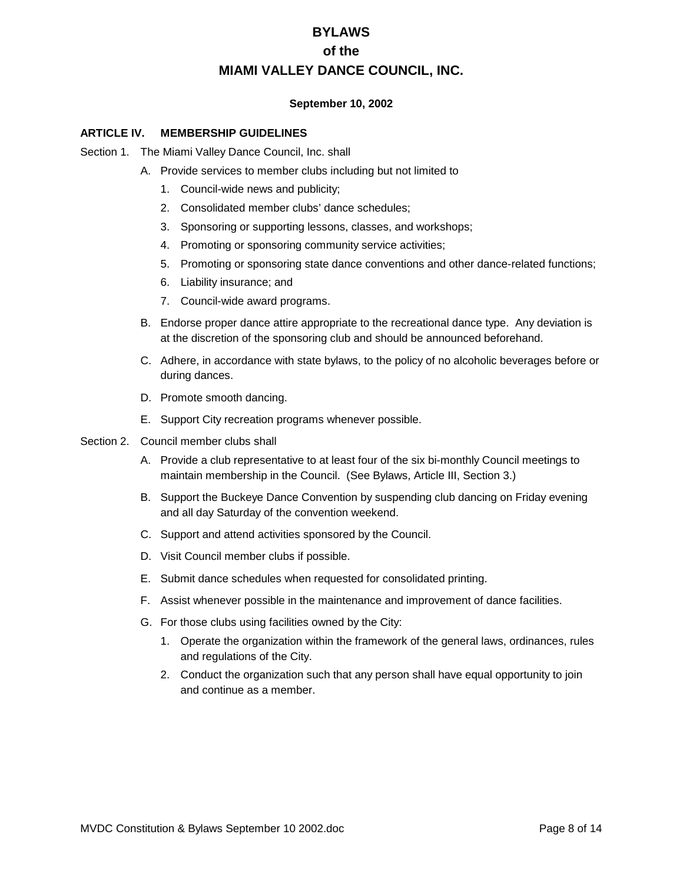### **September 10, 2002**

#### **ARTICLE IV. MEMBERSHIP GUIDELINES**

- Section 1. The Miami Valley Dance Council, Inc. shall
	- A. Provide services to member clubs including but not limited to
		- 1. Council-wide news and publicity;
		- 2. Consolidated member clubs' dance schedules;
		- 3. Sponsoring or supporting lessons, classes, and workshops;
		- 4. Promoting or sponsoring community service activities;
		- 5. Promoting or sponsoring state dance conventions and other dance-related functions;
		- 6. Liability insurance; and
		- 7. Council-wide award programs.
	- B. Endorse proper dance attire appropriate to the recreational dance type. Any deviation is at the discretion of the sponsoring club and should be announced beforehand.
	- C. Adhere, in accordance with state bylaws, to the policy of no alcoholic beverages before or during dances.
	- D. Promote smooth dancing.
	- E. Support City recreation programs whenever possible.
- Section 2. Council member clubs shall
	- A. Provide a club representative to at least four of the six bi-monthly Council meetings to maintain membership in the Council. (See Bylaws, Article III, Section 3.)
	- B. Support the Buckeye Dance Convention by suspending club dancing on Friday evening and all day Saturday of the convention weekend.
	- C. Support and attend activities sponsored by the Council.
	- D. Visit Council member clubs if possible.
	- E. Submit dance schedules when requested for consolidated printing.
	- F. Assist whenever possible in the maintenance and improvement of dance facilities.
	- G. For those clubs using facilities owned by the City:
		- 1. Operate the organization within the framework of the general laws, ordinances, rules and regulations of the City.
		- 2. Conduct the organization such that any person shall have equal opportunity to join and continue as a member.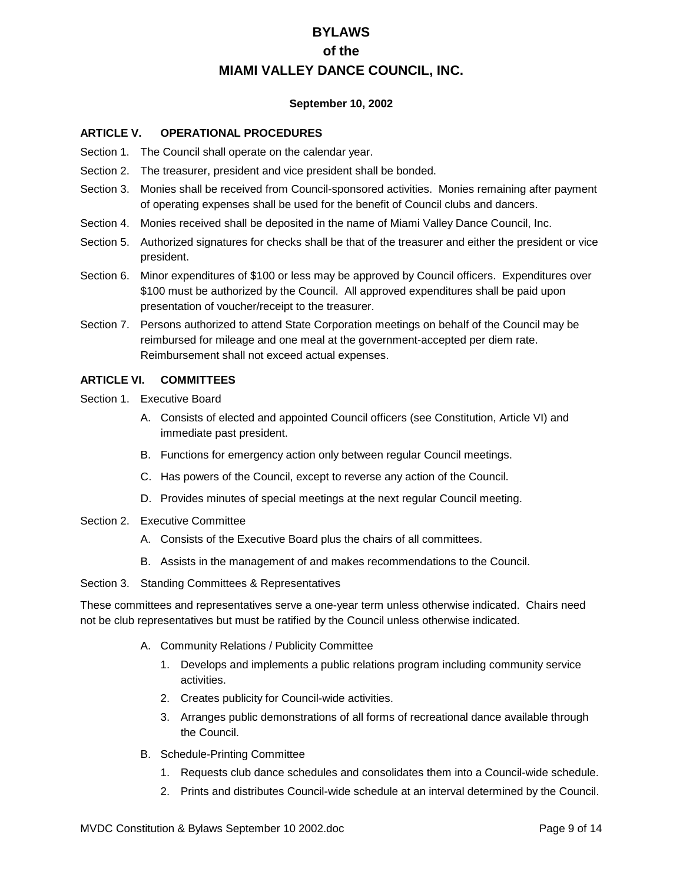### **September 10, 2002**

#### **ARTICLE V. OPERATIONAL PROCEDURES**

- Section 1. The Council shall operate on the calendar year.
- Section 2. The treasurer, president and vice president shall be bonded.
- Section 3. Monies shall be received from Council-sponsored activities. Monies remaining after payment of operating expenses shall be used for the benefit of Council clubs and dancers.
- Section 4. Monies received shall be deposited in the name of Miami Valley Dance Council, Inc.
- Section 5. Authorized signatures for checks shall be that of the treasurer and either the president or vice president.
- Section 6. Minor expenditures of \$100 or less may be approved by Council officers. Expenditures over \$100 must be authorized by the Council. All approved expenditures shall be paid upon presentation of voucher/receipt to the treasurer.
- Section 7. Persons authorized to attend State Corporation meetings on behalf of the Council may be reimbursed for mileage and one meal at the government-accepted per diem rate. Reimbursement shall not exceed actual expenses.

## **ARTICLE VI. COMMITTEES**

- Section 1. Executive Board
	- A. Consists of elected and appointed Council officers (see Constitution, Article VI) and immediate past president.
	- B. Functions for emergency action only between regular Council meetings.
	- C. Has powers of the Council, except to reverse any action of the Council.
	- D. Provides minutes of special meetings at the next regular Council meeting.
- Section 2. Executive Committee
	- A. Consists of the Executive Board plus the chairs of all committees.
	- B. Assists in the management of and makes recommendations to the Council.
- Section 3. Standing Committees & Representatives

These committees and representatives serve a one-year term unless otherwise indicated. Chairs need not be club representatives but must be ratified by the Council unless otherwise indicated.

- A. Community Relations / Publicity Committee
	- 1. Develops and implements a public relations program including community service activities.
	- 2. Creates publicity for Council-wide activities.
	- 3. Arranges public demonstrations of all forms of recreational dance available through the Council.
- B. Schedule-Printing Committee
	- 1. Requests club dance schedules and consolidates them into a Council-wide schedule.
	- 2. Prints and distributes Council-wide schedule at an interval determined by the Council.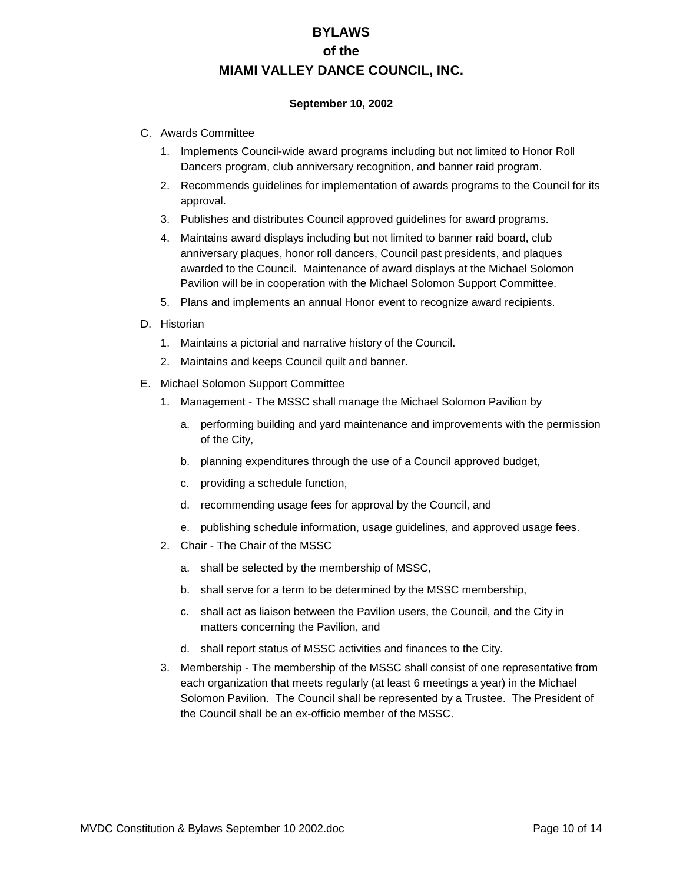## **September 10, 2002**

- C. Awards Committee
	- 1. Implements Council-wide award programs including but not limited to Honor Roll Dancers program, club anniversary recognition, and banner raid program.
	- 2. Recommends guidelines for implementation of awards programs to the Council for its approval.
	- 3. Publishes and distributes Council approved guidelines for award programs.
	- 4. Maintains award displays including but not limited to banner raid board, club anniversary plaques, honor roll dancers, Council past presidents, and plaques awarded to the Council. Maintenance of award displays at the Michael Solomon Pavilion will be in cooperation with the Michael Solomon Support Committee.
	- 5. Plans and implements an annual Honor event to recognize award recipients.
- D. Historian
	- 1. Maintains a pictorial and narrative history of the Council.
	- 2. Maintains and keeps Council quilt and banner.
- E. Michael Solomon Support Committee
	- 1. Management The MSSC shall manage the Michael Solomon Pavilion by
		- a. performing building and yard maintenance and improvements with the permission of the City,
		- b. planning expenditures through the use of a Council approved budget,
		- c. providing a schedule function,
		- d. recommending usage fees for approval by the Council, and
		- e. publishing schedule information, usage guidelines, and approved usage fees.
	- 2. Chair The Chair of the MSSC
		- a. shall be selected by the membership of MSSC,
		- b. shall serve for a term to be determined by the MSSC membership,
		- c. shall act as liaison between the Pavilion users, the Council, and the City in matters concerning the Pavilion, and
		- d. shall report status of MSSC activities and finances to the City.
	- 3. Membership The membership of the MSSC shall consist of one representative from each organization that meets regularly (at least 6 meetings a year) in the Michael Solomon Pavilion. The Council shall be represented by a Trustee. The President of the Council shall be an ex-officio member of the MSSC.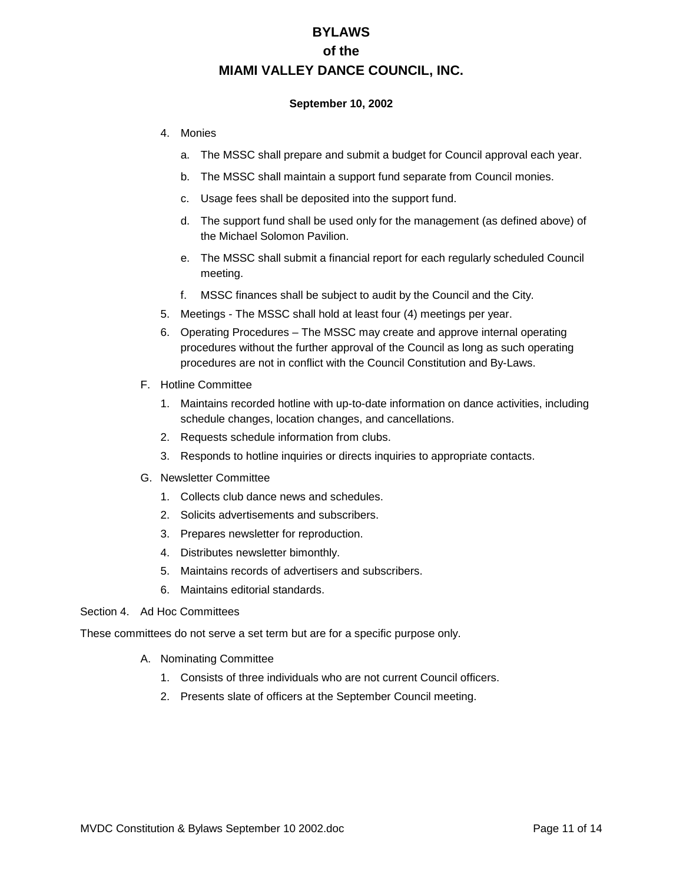### **September 10, 2002**

- 4. Monies
	- a. The MSSC shall prepare and submit a budget for Council approval each year.
	- b. The MSSC shall maintain a support fund separate from Council monies.
	- c. Usage fees shall be deposited into the support fund.
	- d. The support fund shall be used only for the management (as defined above) of the Michael Solomon Pavilion.
	- e. The MSSC shall submit a financial report for each regularly scheduled Council meeting.
	- f. MSSC finances shall be subject to audit by the Council and the City.
- 5. Meetings The MSSC shall hold at least four (4) meetings per year.
- 6. Operating Procedures The MSSC may create and approve internal operating procedures without the further approval of the Council as long as such operating procedures are not in conflict with the Council Constitution and By-Laws.
- F. Hotline Committee
	- 1. Maintains recorded hotline with up-to-date information on dance activities, including schedule changes, location changes, and cancellations.
	- 2. Requests schedule information from clubs.
	- 3. Responds to hotline inquiries or directs inquiries to appropriate contacts.
- G. Newsletter Committee
	- 1. Collects club dance news and schedules.
	- 2. Solicits advertisements and subscribers.
	- 3. Prepares newsletter for reproduction.
	- 4. Distributes newsletter bimonthly.
	- 5. Maintains records of advertisers and subscribers.
	- 6. Maintains editorial standards.
- Section 4 Ad Hoc Committees

These committees do not serve a set term but are for a specific purpose only.

- A. Nominating Committee
	- 1. Consists of three individuals who are not current Council officers.
	- 2. Presents slate of officers at the September Council meeting.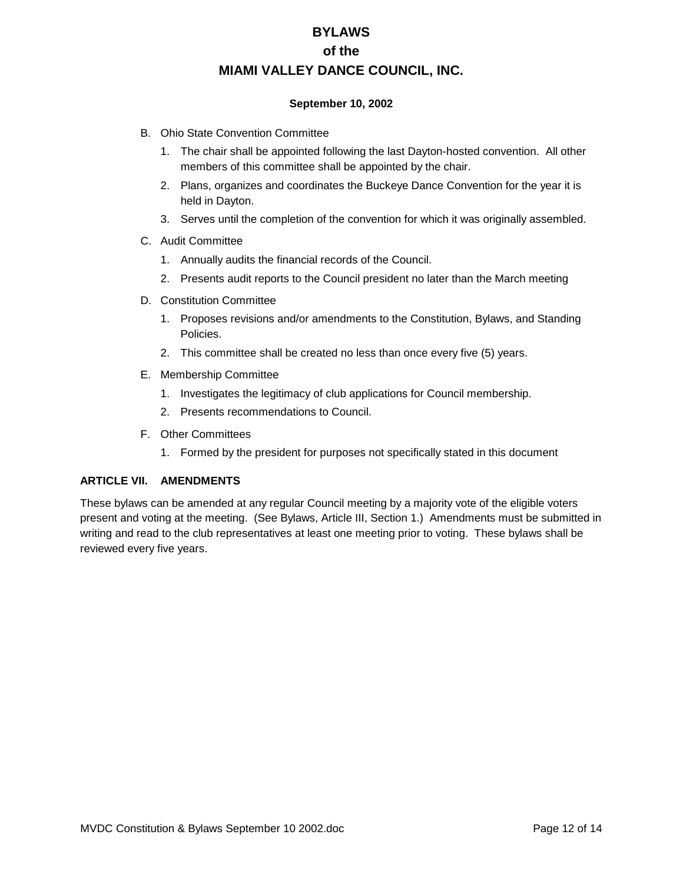### **September 10, 2002**

- B. Ohio State Convention Committee
	- 1. The chair shall be appointed following the last Dayton-hosted convention. All other members of this committee shall be appointed by the chair.
	- 2. Plans, organizes and coordinates the Buckeye Dance Convention for the year it is held in Dayton.
	- 3. Serves until the completion of the convention for which it was originally assembled.
- C. Audit Committee
	- 1. Annually audits the financial records of the Council.
	- 2. Presents audit reports to the Council president no later than the March meeting
- D. Constitution Committee
	- 1. Proposes revisions and/or amendments to the Constitution, Bylaws, and Standing Policies.
	- 2. This committee shall be created no less than once every five (5) years.
- E. Membership Committee
	- 1. Investigates the legitimacy of club applications for Council membership.
	- 2. Presents recommendations to Council.
- F. Other Committees
	- 1. Formed by the president for purposes not specifically stated in this document

#### **ARTICLE VII. AMENDMENTS**

These bylaws can be amended at any regular Council meeting by a majority vote of the eligible voters present and voting at the meeting. (See Bylaws, Article III, Section 1.) Amendments must be submitted in writing and read to the club representatives at least one meeting prior to voting. These bylaws shall be reviewed every five years.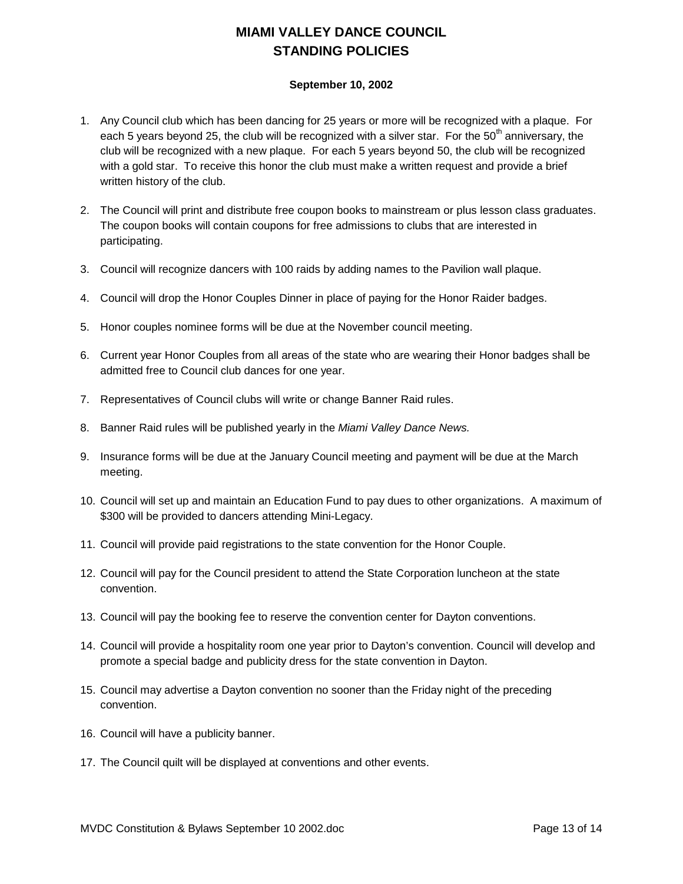## **MIAMI VALLEY DANCE COUNCIL STANDING POLICIES**

### **September 10, 2002**

- 1. Any Council club which has been dancing for 25 years or more will be recognized with a plaque. For each 5 years beyond 25, the club will be recognized with a silver star. For the 50<sup>th</sup> anniversary, the club will be recognized with a new plaque. For each 5 years beyond 50, the club will be recognized with a gold star. To receive this honor the club must make a written request and provide a brief written history of the club.
- 2. The Council will print and distribute free coupon books to mainstream or plus lesson class graduates. The coupon books will contain coupons for free admissions to clubs that are interested in participating.
- 3. Council will recognize dancers with 100 raids by adding names to the Pavilion wall plaque.
- 4. Council will drop the Honor Couples Dinner in place of paying for the Honor Raider badges.
- 5. Honor couples nominee forms will be due at the November council meeting.
- 6. Current year Honor Couples from all areas of the state who are wearing their Honor badges shall be admitted free to Council club dances for one year.
- 7. Representatives of Council clubs will write or change Banner Raid rules.
- 8. Banner Raid rules will be published yearly in the *Miami Valley Dance News.*
- 9. Insurance forms will be due at the January Council meeting and payment will be due at the March meeting.
- 10. Council will set up and maintain an Education Fund to pay dues to other organizations. A maximum of \$300 will be provided to dancers attending Mini-Legacy.
- 11. Council will provide paid registrations to the state convention for the Honor Couple.
- 12. Council will pay for the Council president to attend the State Corporation luncheon at the state convention.
- 13. Council will pay the booking fee to reserve the convention center for Dayton conventions.
- 14. Council will provide a hospitality room one year prior to Dayton's convention. Council will develop and promote a special badge and publicity dress for the state convention in Dayton.
- 15. Council may advertise a Dayton convention no sooner than the Friday night of the preceding convention.
- 16. Council will have a publicity banner.
- 17. The Council quilt will be displayed at conventions and other events.